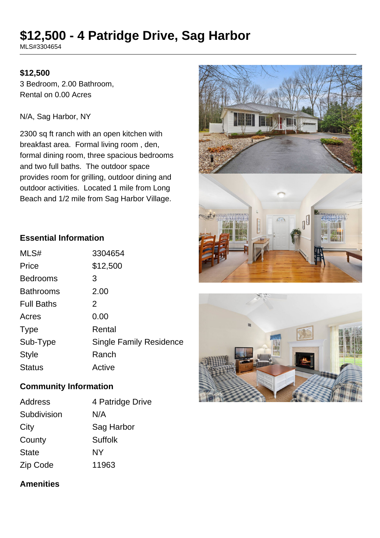# **\$12,500 - 4 Patridge Drive, Sag Harbor**

MLS#3304654

#### **\$12,500**

3 Bedroom, 2.00 Bathroom, Rental on 0.00 Acres

N/A, Sag Harbor, NY

2300 sq ft ranch with an open kitchen with breakfast area. Formal living room , den, formal dining room, three spacious bedrooms and two full baths. The outdoor space provides room for grilling, outdoor dining and outdoor activities. Located 1 mile from Long Beach and 1/2 mile from Sag Harbor Village.

# **Essential Information**

| MLS#              | 3304654                        |
|-------------------|--------------------------------|
| Price             | \$12,500                       |
| <b>Bedrooms</b>   | 3                              |
| <b>Bathrooms</b>  | 2.00                           |
| <b>Full Baths</b> | 2                              |
| Acres             | 0.00                           |
| <b>Type</b>       | Rental                         |
| Sub-Type          | <b>Single Family Residence</b> |
| <b>Style</b>      | Ranch                          |
| <b>Status</b>     | Active                         |

# **Community Information**

| Address      | 4 Patridge Drive |
|--------------|------------------|
| Subdivision  | N/A              |
| City         | Sag Harbor       |
| County       | <b>Suffolk</b>   |
| <b>State</b> | NΥ               |
| Zip Code     | 11963            |

## **Amenities**